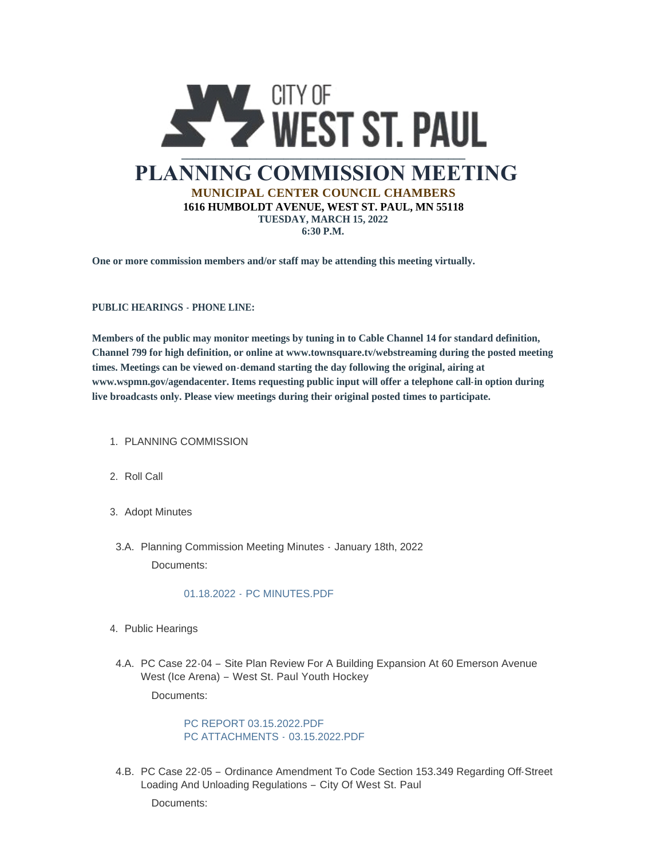

**One or more commission members and/or staff may be attending this meeting virtually.**

**PUBLIC HEARINGS - PHONE LINE:**

**Members of the public may monitor meetings by tuning in to Cable Channel 14 for standard definition, Channel 799 for high definition, or online at www.townsquare.tv/webstreaming during the posted meeting times. Meetings can be viewed on-demand starting the day following the original, airing at www.wspmn.gov/agendacenter. Items requesting public input will offer a telephone call-in option during live broadcasts only. Please view meetings during their original posted times to participate.**

- 1. PLANNING COMMISSION
- 2. Roll Call
- 3. Adopt Minutes
- 3.A. Planning Commission Meeting Minutes January 18th, 2022 Documents:

## 01.18.2022 - [PC MINUTES.PDF](https://www.wspmn.gov/AgendaCenter/ViewFile/Item/12441?fileID=19610)

- 4. Public Hearings
- 4.A. PC Case 22-04 Site Plan Review For A Building Expansion At 60 Emerson Avenue West (Ice Arena) – West St. Paul Youth Hockey

Documents:

[PC REPORT 03.15.2022.PDF](https://www.wspmn.gov/AgendaCenter/ViewFile/Item/12645?fileID=19640) [PC ATTACHMENTS -](https://www.wspmn.gov/AgendaCenter/ViewFile/Item/12645?fileID=19639) 03.15.2022.PDF

4.B. PC Case 22-05 - Ordinance Amendment To Code Section 153.349 Regarding Off-Street Loading And Unloading Regulations – City Of West St. Paul

Documents: